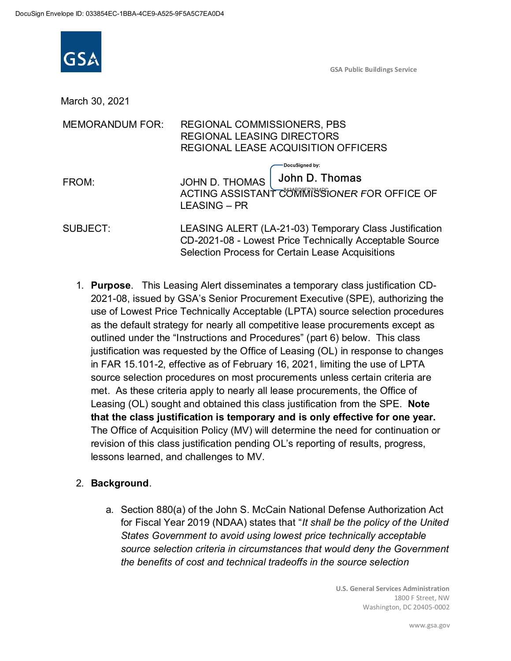

| ope ID: 033854EC-1BBA-4CE9-A525-9F5A5C7EA0D4 |                                                                                                                                                                       |
|----------------------------------------------|-----------------------------------------------------------------------------------------------------------------------------------------------------------------------|
| <b>GSA</b>                                   | <b>GSA Public Buildings Service</b>                                                                                                                                   |
| March 30, 2021                               |                                                                                                                                                                       |
| <b>MEMORANDUM FOR:</b>                       | REGIONAL COMMISSIONERS, PBS<br><b>REGIONAL LEASING DIRECTORS</b><br>REGIONAL LEASE ACQUISITION OFFICERS                                                               |
| FROM:                                        | DocuSigned by:<br>John D. Thomas<br><b>JOHN D. THOMAS</b><br>ACTING ASSISTANT COMMISSIONER FOR OFFICE OF<br><b>LEASING - PR</b>                                       |
| SUBJECT:                                     | LEASING ALERT (LA-21-03) Temporary Class Justification<br>CD-2021-08 - Lowest Price Technically Acceptable Source<br>Selection Process for Certain Lease Acquisitions |

nents, the Office of<br>
from the SPE. **Note**<br> **effective for one year.**<br>
meed for continuation or<br>
of results, progress,<br>
efense Authorization Act<br>
be the policy of the United<br>
cchnically acceptable<br>
uld deny the Government<br> E. **Note**<br> **E. Note**<br> **Dimession Space Server Space Space Space Space Space Space Space Space Space Space Space Space Space Space Space Space Space Space Space Space Space Space Space Space Space Space Space Space Space Sp** 1. Purpose. This Leasing Alert disseminates a temporary class justification CD-2021-08, issued by GSA's Senior Procurement Executive (SPE), authorizing the use of Lowest Price Technically Acceptable (LPTA) source selection procedures as the default strategy for nearly all competitive lease procurements except as outlined under the "Instructions and Procedures" (part 6) below. This class justification was requested by the Office of Leasing (OL) in response to changes in FAR 15.101-2, effective as of February 16, 2021, limiting the use of LPTA source selection procedures on most procurements unless certain criteria are met. As these criteria apply to nearly all lease procurements, the Office of Leasing (OL) sought and obtained this class justification from the SPE. Note that the class justification is temporary and is only effective for one year. The Office of Acquisition Policy (MV) will determine the need for continuation or revision of this class justification pending OL's reporting of results, progress, lessons learned, and challenges to MV.

## 2. Background.

the SPE. **Note**<br>
ve for one year.<br>
Solved the vertex of continuation or<br>
the policy of the United<br>
solved the United<br>
solved the Government<br>
is explection<br>
and Services Administration<br>
1800 F Street, NW<br>
Washington, DC 204 a. Section 880(a) of the John S. McCain National Defense Authorization Act for Fiscal Year 2019 (NDAA) states that "It shall be the policy of the United States Government to avoid using lowest price technically acceptable source selection criteria in circumstances that would deny the Government the benefits of cost and technical tradeoffs in the source selection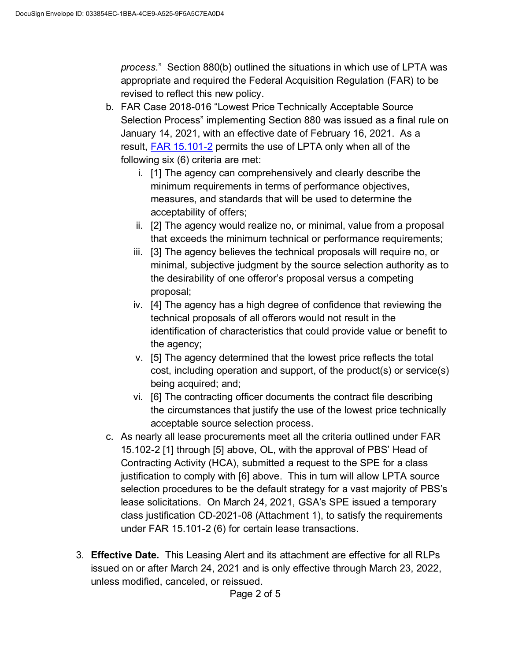process." Section 880(b) outlined the situations in which use of LPTA was appropriate and required the Federal Acquisition Regulation (FAR) to be revised to reflect this new policy.

- b. FAR Case 2018-016 "Lowest Price Technically Acceptable Source Selection Process" implementing Section 880 was issued as a final rule on January 14, 2021, with an effective date of February 16, 2021. As a result, FAR 15.101-2 permits the use of LPTA only when all of the following six (6) criteria are met:
	- i. [1] The agency can comprehensively and clearly describe the minimum requirements in terms of performance objectives, measures, and standards that will be used to determine the acceptability of offers;
	- ii. [2] The agency would realize no, or minimal, value from a proposal that exceeds the minimum technical or performance requirements;
	- iii. [3] The agency believes the technical proposals will require no, or minimal, subjective judgment by the source selection authority as to the desirability of one offeror's proposal versus a competing proposal;
	- iv. [4] The agency has a high degree of confidence that reviewing the technical proposals of all offerors would not result in the identification of characteristics that could provide value or benefit to the agency;
	- v. [5] The agency determined that the lowest price reflects the total cost, including operation and support, of the product(s) or service(s) being acquired; and;
	- vi. [6] The contracting officer documents the contract file describing the circumstances that justify the use of the lowest price technically acceptable source selection process.
- c. As nearly all lease procurements meet all the criteria outlined under FAR 15.102-2 [1] through [5] above, OL, with the approval of PBS' Head of Contracting Activity (HCA), submitted a request to the SPE for a class justification to comply with [6] above. This in turn will allow LPTA source selection procedures to be the default strategy for a vast majority of PBS's lease solicitations. On March 24, 2021, GSA's SPE issued a temporary class justification CD-2021-08 (Attachment 1), to satisfy the requirements under FAR 15.101-2 (6) for certain lease transactions.
- 3. Effective Date. This Leasing Alert and its attachment are effective for all RLPs issued on or after March 24, 2021 and is only effective through March 23, 2022, unless modified, canceled, or reissued.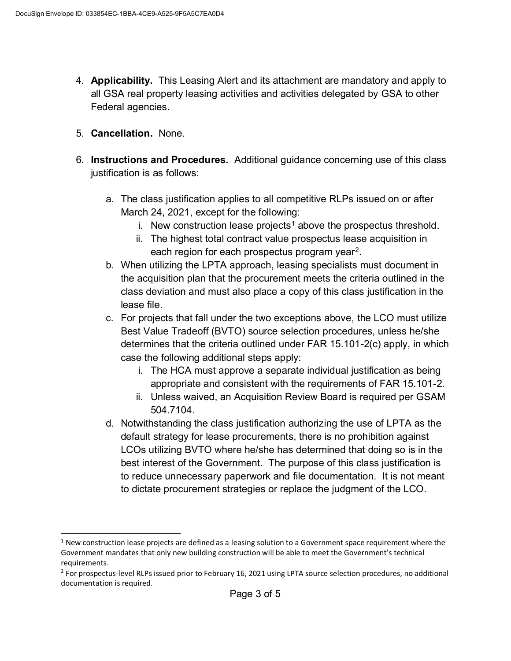- 4. Applicability. This Leasing Alert and its attachment are mandatory and apply to all GSA real property leasing activities and activities delegated by GSA to other Federal agencies.
- 5. Cancellation. None.
- 6. Instructions and Procedures. Additional guidance concerning use of this class justification is as follows:
	- a. The class justification applies to all competitive RLPs issued on or after March 24, 2021, except for the following:
		- i.  $\,$  New construction lease projects $^1$  above the prospectus threshold.
		- ii. The highest total contract value prospectus lease acquisition in each region for each prospectus program year<sup>2</sup>. .
	- b. When utilizing the LPTA approach, leasing specialists must document in the acquisition plan that the procurement meets the criteria outlined in the class deviation and must also place a copy of this class justification in the lease file.
	- c. For projects that fall under the two exceptions above, the LCO must utilize Best Value Tradeoff (BVTO) source selection procedures, unless he/she determines that the criteria outlined under FAR 15.101-2(c) apply, in which case the following additional steps apply:
		- i. The HCA must approve a separate individual justification as being appropriate and consistent with the requirements of FAR 15.101-2.
		- ii. Unless waived, an Acquisition Review Board is required per GSAM 504.7104.
- d. Notwithstanding the class justification authorizing the use of LPTA as the default strategy for lease procurements, there is no prohibition against LCOs utilizing BVTO where he/she has determined that doing so is in the best interest of the Government. The purpose of this class justification is to reduce unnecessary paperwork and file documentation. It is not meant to dictate procurement strategies or replace the judgment of the LCO. determines that the criteria outlined under FAR 15.101-2(c) apply, in which<br>
case the following additional steps apply:<br>
i. The HCA must approve a separate individual justification as being<br>
appropriate and consistent with i. The HCA must approve a separate individual justification as being<br>
appropriate and consistent with the requirements of FAR 15.101-2.<br>
ii. Unless waived, an Acquisition Review Board is requirements of FAR 16.101-2.<br>
d. N appropriate and consistent with the requirements of FAI<br>ii. Unless waived, an Acquisition Review Board is required<br>504.7104.<br>d. Notwithstanding the class justification authorizing the use of LE<br>default strategy for lease p

Government mandates that only new building construction will be able to meet the Government's technical requirements.

<sup>&</sup>lt;sup>2</sup> For prospectus-level RLPs issued prior to February 16, 2021 using LPTA source selection procedures, no additional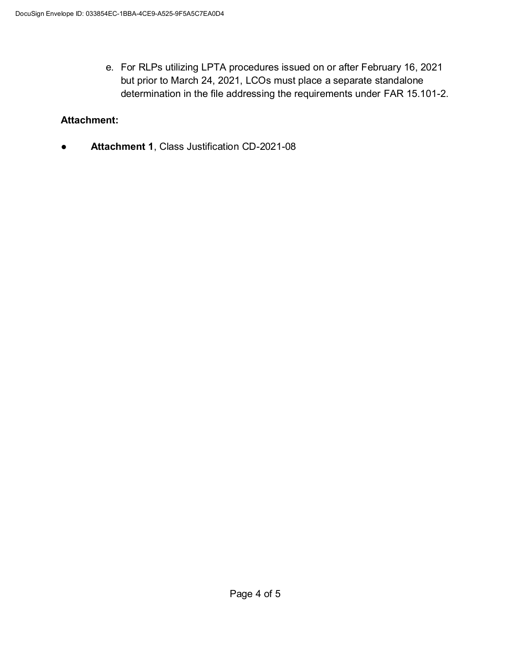e. For RLPs utilizing LPTA procedures issued on or after February 16, 2021 but prior to March 24, 2021, LCOs must place a separate standalone determination in the file addressing the requirements under FAR 15.101-2.

## Attachment:

● Attachment 1, Class Justification CD-2021-08